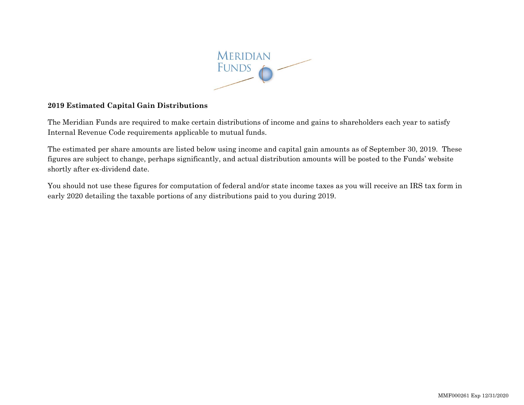

## **2019 Estimated Capital Gain Distributions**

The Meridian Funds are required to make certain distributions of income and gains to shareholders each year to satisfy Internal Revenue Code requirements applicable to mutual funds.

The estimated per share amounts are listed below using income and capital gain amounts as of September 30, 2019. These figures are subject to change, perhaps significantly, and actual distribution amounts will be posted to the Funds' website shortly after ex-dividend date.

You should not use these figures for computation of federal and/or state income taxes as you will receive an IRS tax form in early 2020 detailing the taxable portions of any distributions paid to you during 2019.